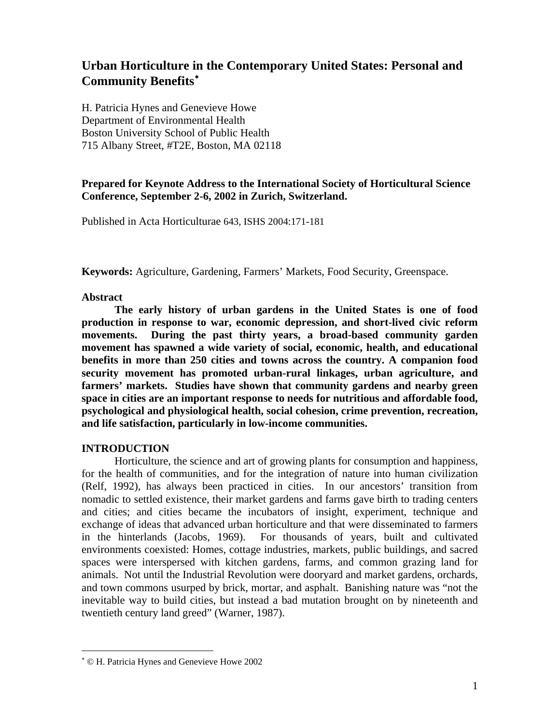# **Urban Horticulture i[n](#page-0-0) the Contemporary United States: Personal and Community Benefits**[∗](#page-0-0)

H. Patricia Hynes and Genevieve Howe Department of Environmental Health Boston University School of Public Health 715 Albany Street, #T2E, Boston, MA 02118

## **Prepared for Keynote Address to the International Society of Horticultural Science Conference, September 2-6, 2002 in Zurich, Switzerland.**

Published in Acta Horticulturae 643, ISHS 2004:171-181

**Keywords:** Agriculture, Gardening, Farmers' Markets, Food Security, Greenspace.

## **Abstract**

**The early history of urban gardens in the United States is one of food production in response to war, economic depression, and short-lived civic reform movements. During the past thirty years, a broad-based community garden movement has spawned a wide variety of social, economic, health, and educational benefits in more than 250 cities and towns across the country. A companion food security movement has promoted urban-rural linkages, urban agriculture, and farmers' markets. Studies have shown that community gardens and nearby green space in cities are an important response to needs for nutritious and affordable food, psychological and physiological health, social cohesion, crime prevention, recreation, and life satisfaction, particularly in low-income communities.** 

## **INTRODUCTION**

 $\overline{a}$ 

Horticulture, the science and art of growing plants for consumption and happiness, for the health of communities, and for the integration of nature into human civilization (Relf, 1992), has always been practiced in cities. In our ancestors' transition from nomadic to settled existence, their market gardens and farms gave birth to trading centers and cities; and cities became the incubators of insight, experiment, technique and exchange of ideas that advanced urban horticulture and that were disseminated to farmers in the hinterlands (Jacobs, 1969). For thousands of years, built and cultivated environments coexisted: Homes, cottage industries, markets, public buildings, and sacred spaces were interspersed with kitchen gardens, farms, and common grazing land for animals. Not until the Industrial Revolution were dooryard and market gardens, orchards, and town commons usurped by brick, mortar, and asphalt. Banishing nature was "not the inevitable way to build cities, but instead a bad mutation brought on by nineteenth and twentieth century land greed" (Warner, 1987).

<span id="page-0-0"></span><sup>∗</sup> © H. Patricia Hynes and Genevieve Howe 2002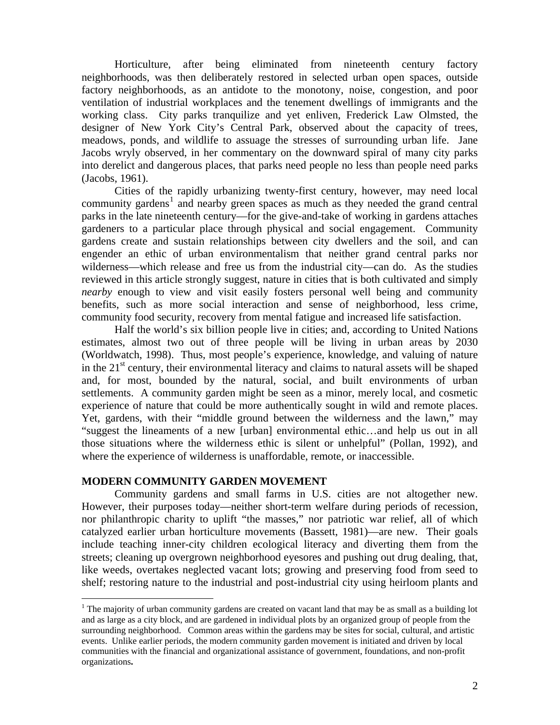Horticulture, after being eliminated from nineteenth century factory neighborhoods, was then deliberately restored in selected urban open spaces, outside factory neighborhoods, as an antidote to the monotony, noise, congestion, and poor ventilation of industrial workplaces and the tenement dwellings of immigrants and the working class. City parks tranquilize and yet enliven, Frederick Law Olmsted, the designer of New York City's Central Park, observed about the capacity of trees, meadows, ponds, and wildlife to assuage the stresses of surrounding urban life. Jane Jacobs wryly observed, in her commentary on the downward spiral of many city parks into derelict and dangerous places, that parks need people no less than people need parks (Jacobs, 1961).

Cities of the rapidly urbanizing twenty-first century, however, may need local community gardens<sup>[1](#page-1-0)</sup> and nearby green spaces as much as they needed the grand central parks in the late nineteenth century––for the give-and-take of working in gardens attaches gardeners to a particular place through physical and social engagement. Community gardens create and sustain relationships between city dwellers and the soil, and can engender an ethic of urban environmentalism that neither grand central parks nor wilderness—which release and free us from the industrial city—can do. As the studies reviewed in this article strongly suggest, nature in cities that is both cultivated and simply *nearby* enough to view and visit easily fosters personal well being and community benefits, such as more social interaction and sense of neighborhood, less crime, community food security, recovery from mental fatigue and increased life satisfaction.

Half the world's six billion people live in cities; and, according to United Nations estimates, almost two out of three people will be living in urban areas by 2030 (Worldwatch, 1998). Thus, most people's experience, knowledge, and valuing of nature in the  $21<sup>st</sup>$  century, their environmental literacy and claims to natural assets will be shaped and, for most, bounded by the natural, social, and built environments of urban settlements. A community garden might be seen as a minor, merely local, and cosmetic experience of nature that could be more authentically sought in wild and remote places. Yet, gardens, with their "middle ground between the wilderness and the lawn," may "suggest the lineaments of a new [urban] environmental ethic…and help us out in all those situations where the wilderness ethic is silent or unhelpful" (Pollan, 1992), and where the experience of wilderness is unaffordable, remote, or inaccessible.

## **MODERN COMMUNITY GARDEN MOVEMENT**

 $\overline{a}$ 

Community gardens and small farms in U.S. cities are not altogether new. However, their purposes today—neither short-term welfare during periods of recession, nor philanthropic charity to uplift "the masses," nor patriotic war relief, all of which catalyzed earlier urban horticulture movements (Bassett, 1981)—are new. Their goals include teaching inner-city children ecological literacy and diverting them from the streets; cleaning up overgrown neighborhood eyesores and pushing out drug dealing, that, like weeds, overtakes neglected vacant lots; growing and preserving food from seed to shelf; restoring nature to the industrial and post-industrial city using heirloom plants and

<span id="page-1-0"></span><sup>&</sup>lt;sup>1</sup> The majority of urban community gardens are created on vacant land that may be as small as a building lot and as large as a city block, and are gardened in individual plots by an organized group of people from the surrounding neighborhood. Common areas within the gardens may be sites for social, cultural, and artistic events. Unlike earlier periods, the modern community garden movement is initiated and driven by local communities with the financial and organizational assistance of government, foundations, and non-profit organizations**.**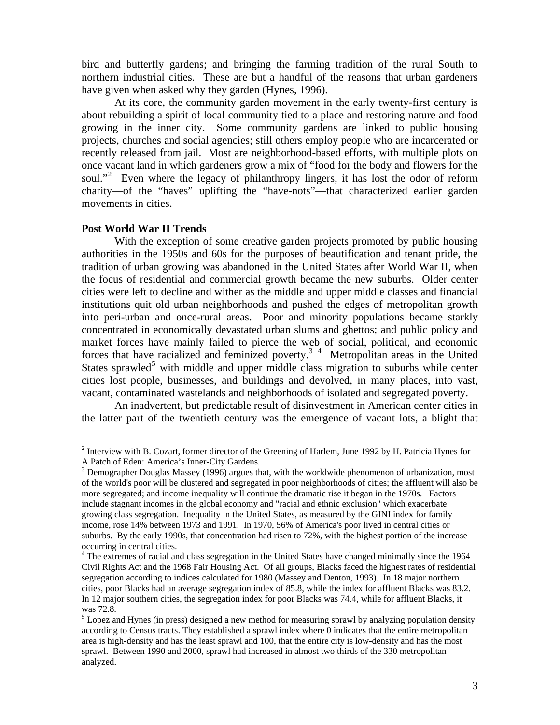bird and butterfly gardens; and bringing the farming tradition of the rural South to northern industrial cities. These are but a handful of the reasons that urban gardeners have given when asked why they garden (Hynes, 1996).

At its core, the community garden movement in the early twenty-first century is about rebuilding a spirit of local community tied to a place and restoring nature and food growing in the inner city. Some community gardens are linked to public housing projects, churches and social agencies; still others employ people who are incarcerated or recently released from jail. Most are neighborhood-based efforts, with multiple plots on once vacant land in which gardeners grow a mix of "food for the body and flowers for the soul."<sup>[2](#page-2-0)</sup> Even where the legacy of philanthropy lingers, it has lost the odor of reform charity—of the "haves" uplifting the "have-nots"—that characterized earlier garden movements in cities.

#### **Post World War II Trends**

 $\overline{a}$ 

With the exception of some creative garden projects promoted by public housing authorities in the 1950s and 60s for the purposes of beautification and tenant pride, the tradition of urban growing was abandoned in the United States after World War II, when the focus of residential and commercial growth became the new suburbs. Older center cities were left to decline and wither as the middle and upper middle classes and financial institutions quit old urban neighborhoods and pushed the edges of metropolitan growth into peri-urban and once-rural areas. Poor and minority populations became starkly concentrated in economically devastated urban slums and ghettos; and public policy and market forces have mainly failed to pierce the web of social, political, and economic forces that have racialized and feminized poverty.<sup>[3](#page-2-1)[4](#page-2-2)</sup> Metropolitan areas in the United States sprawled<sup>[5](#page-2-3)</sup> with middle and upper middle class migration to suburbs while center cities lost people, businesses, and buildings and devolved, in many places, into vast, vacant, contaminated wastelands and neighborhoods of isolated and segregated poverty.

An inadvertent, but predictable result of disinvestment in American center cities in the latter part of the twentieth century was the emergence of vacant lots, a blight that

<span id="page-2-0"></span><sup>&</sup>lt;sup>2</sup> Interview with B. Cozart, former director of the Greening of Harlem, June 1992 by H. Patricia Hynes for A Patch of Eden: America's Inner-City Gardens.

<span id="page-2-1"></span> $3$  Demographer Douglas Massey (1996) argues that, with the worldwide phenomenon of urbanization, most of the world's poor will be clustered and segregated in poor neighborhoods of cities; the affluent will also be more segregated; and income inequality will continue the dramatic rise it began in the 1970s. Factors include stagnant incomes in the global economy and "racial and ethnic exclusion" which exacerbate growing class segregation. Inequality in the United States, as measured by the GINI index for family income, rose 14% between 1973 and 1991. In 1970, 56% of America's poor lived in central cities or suburbs. By the early 1990s, that concentration had risen to 72%, with the highest portion of the increase occurring in central cities.

<span id="page-2-2"></span><sup>&</sup>lt;sup>4</sup> The extremes of racial and class segregation in the United States have changed minimally since the 1964 Civil Rights Act and the 1968 Fair Housing Act. Of all groups, Blacks faced the highest rates of residential segregation according to indices calculated for 1980 (Massey and Denton, 1993). In 18 major northern cities, poor Blacks had an average segregation index of 85.8, while the index for affluent Blacks was 83.2. In 12 major southern cities, the segregation index for poor Blacks was 74.4, while for affluent Blacks, it was 72.8.

<span id="page-2-3"></span> $<sup>5</sup>$  Lopez and Hynes (in press) designed a new method for measuring sprawl by analyzing population density</sup> according to Census tracts. They established a sprawl index where 0 indicates that the entire metropolitan area is high-density and has the least sprawl and 100, that the entire city is low-density and has the most sprawl. Between 1990 and 2000, sprawl had increased in almost two thirds of the 330 metropolitan analyzed.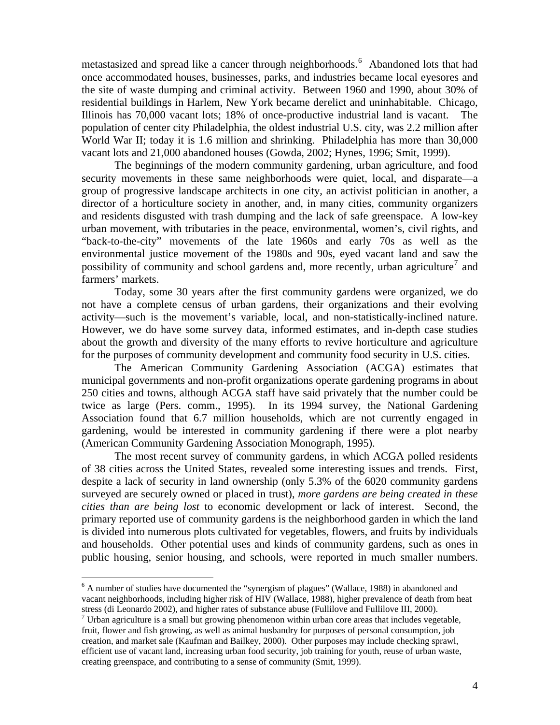metastasized and spread like a cancer through neighborhoods.<sup>[6](#page-3-0)</sup> Abandoned lots that had once accommodated houses, businesses, parks, and industries became local eyesores and the site of waste dumping and criminal activity. Between 1960 and 1990, about 30% of residential buildings in Harlem, New York became derelict and uninhabitable. Chicago, Illinois has 70,000 vacant lots; 18% of once-productive industrial land is vacant. The population of center city Philadelphia, the oldest industrial U.S. city, was 2.2 million after World War II; today it is 1.6 million and shrinking. Philadelphia has more than 30,000 vacant lots and 21,000 abandoned houses (Gowda, 2002; Hynes, 1996; Smit, 1999).

The beginnings of the modern community gardening, urban agriculture, and food security movements in these same neighborhoods were quiet, local, and disparate—a group of progressive landscape architects in one city, an activist politician in another, a director of a horticulture society in another, and, in many cities, community organizers and residents disgusted with trash dumping and the lack of safe greenspace. A low-key urban movement, with tributaries in the peace, environmental, women's, civil rights, and "back-to-the-city" movements of the late 1960s and early 70s as well as the environmental justice movement of the 1980s and 90s, eyed vacant land and saw the possibility of community and school gardens and, more recently, urban agriculture<sup>[7](#page-3-1)</sup> and farmers' markets.

Today, some 30 years after the first community gardens were organized, we do not have a complete census of urban gardens, their organizations and their evolving activity––such is the movement's variable, local, and non-statistically-inclined nature. However, we do have some survey data, informed estimates, and in-depth case studies about the growth and diversity of the many efforts to revive horticulture and agriculture for the purposes of community development and community food security in U.S. cities.

The American Community Gardening Association (ACGA) estimates that municipal governments and non-profit organizations operate gardening programs in about 250 cities and towns, although ACGA staff have said privately that the number could be twice as large (Pers. comm., 1995). In its 1994 survey, the National Gardening Association found that 6.7 million households, which are not currently engaged in gardening, would be interested in community gardening if there were a plot nearby (American Community Gardening Association Monograph, 1995).

The most recent survey of community gardens, in which ACGA polled residents of 38 cities across the United States, revealed some interesting issues and trends. First, despite a lack of security in land ownership (only 5.3% of the 6020 community gardens surveyed are securely owned or placed in trust), *more gardens are being created in these cities than are being lost* to economic development or lack of interest. Second, the primary reported use of community gardens is the neighborhood garden in which the land is divided into numerous plots cultivated for vegetables, flowers, and fruits by individuals and households. Other potential uses and kinds of community gardens, such as ones in public housing, senior housing, and schools, were reported in much smaller numbers.

 $\overline{a}$ 

<span id="page-3-0"></span><sup>&</sup>lt;sup>6</sup> A number of studies have documented the "synergism of plagues" (Wallace, 1988) in abandoned and vacant neighborhoods, including higher risk of HIV (Wallace, 1988), higher prevalence of death from heat stress (di Leonardo 2002), and higher rates of substance abuse (Fullilove and Fullilove III, 2000).

<span id="page-3-1"></span>Urban agriculture is a small but growing phenomenon within urban core areas that includes vegetable, fruit, flower and fish growing, as well as animal husbandry for purposes of personal consumption, job creation, and market sale (Kaufman and Bailkey, 2000). Other purposes may include checking sprawl, efficient use of vacant land, increasing urban food security, job training for youth, reuse of urban waste, creating greenspace, and contributing to a sense of community (Smit, 1999).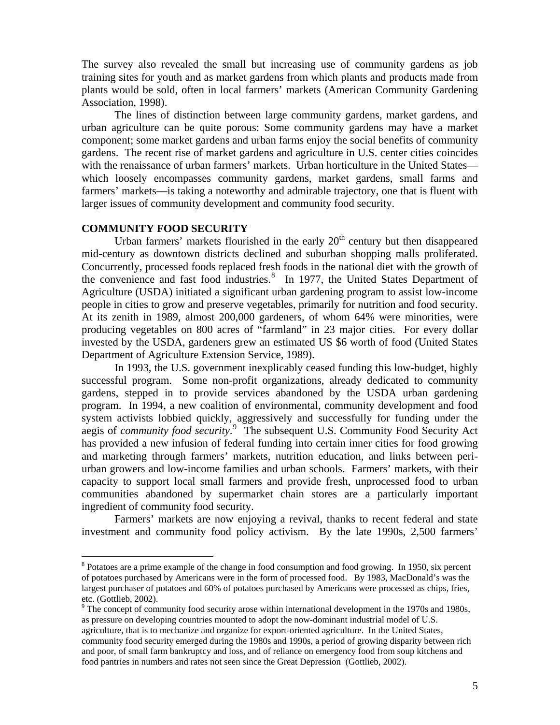The survey also revealed the small but increasing use of community gardens as job training sites for youth and as market gardens from which plants and products made from plants would be sold, often in local farmers' markets (American Community Gardening Association, 1998).

The lines of distinction between large community gardens, market gardens, and urban agriculture can be quite porous: Some community gardens may have a market component; some market gardens and urban farms enjoy the social benefits of community gardens. The recent rise of market gardens and agriculture in U.S. center cities coincides with the renaissance of urban farmers' markets. Urban horticulture in the United States which loosely encompasses community gardens, market gardens, small farms and farmers' markets––is taking a noteworthy and admirable trajectory, one that is fluent with larger issues of community development and community food security.

#### **COMMUNITY FOOD SECURITY**

 $\overline{a}$ 

Urban farmers' markets flourished in the early  $20<sup>th</sup>$  century but then disappeared mid-century as downtown districts declined and suburban shopping malls proliferated. Concurrently, processed foods replaced fresh foods in the national diet with the growth of the convenience and fast food industries.<sup>[8](#page-4-0)</sup> In 1977, the United States Department of Agriculture (USDA) initiated a significant urban gardening program to assist low-income people in cities to grow and preserve vegetables, primarily for nutrition and food security. At its zenith in 1989, almost 200,000 gardeners, of whom 64% were minorities, were producing vegetables on 800 acres of "farmland" in 23 major cities. For every dollar invested by the USDA, gardeners grew an estimated US \$6 worth of food (United States Department of Agriculture Extension Service, 1989).

In 1993, the U.S. government inexplicably ceased funding this low-budget, highly successful program. Some non-profit organizations, already dedicated to community gardens, stepped in to provide services abandoned by the USDA urban gardening program. In 1994, a new coalition of environmental, community development and food system activists lobbied quickly, aggressively and successfully for funding under the aegis of *community food security*. [9](#page-4-1) The subsequent U.S. Community Food Security Act has provided a new infusion of federal funding into certain inner cities for food growing and marketing through farmers' markets, nutrition education, and links between periurban growers and low-income families and urban schools. Farmers' markets, with their capacity to support local small farmers and provide fresh, unprocessed food to urban communities abandoned by supermarket chain stores are a particularly important ingredient of community food security.

Farmers' markets are now enjoying a revival, thanks to recent federal and state investment and community food policy activism. By the late 1990s, 2,500 farmers'

<span id="page-4-1"></span> $9^9$  The concept of community food security arose within international development in the 1970s and 1980s, as pressure on developing countries mounted to adopt the now-dominant industrial model of U.S. agriculture, that is to mechanize and organize for export-oriented agriculture. In the United States, community food security emerged during the 1980s and 1990s, a period of growing disparity between rich and poor, of small farm bankruptcy and loss, and of reliance on emergency food from soup kitchens and food pantries in numbers and rates not seen since the Great Depression (Gottlieb, 2002).

<span id="page-4-0"></span><sup>&</sup>lt;sup>8</sup> Potatoes are a prime example of the change in food consumption and food growing. In 1950, six percent of potatoes purchased by Americans were in the form of processed food. By 1983, MacDonald's was the largest purchaser of potatoes and 60% of potatoes purchased by Americans were processed as chips, fries, etc. (Gottlieb, 2002).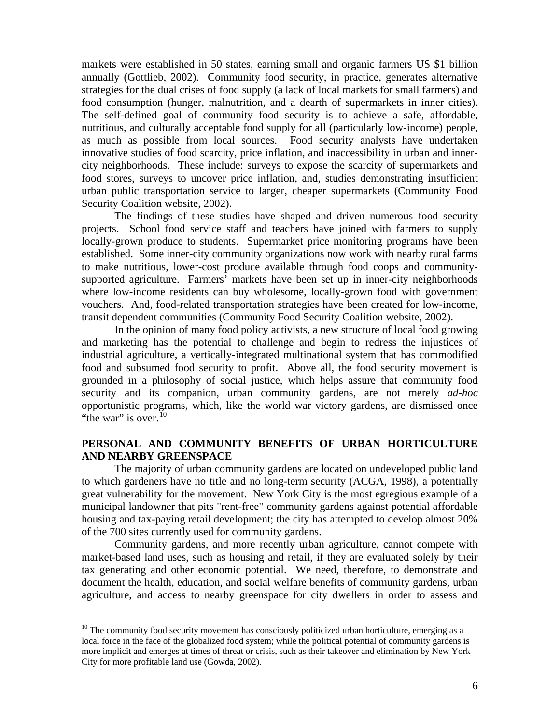markets were established in 50 states, earning small and organic farmers US \$1 billion annually (Gottlieb, 2002). Community food security, in practice, generates alternative strategies for the dual crises of food supply (a lack of local markets for small farmers) and food consumption (hunger, malnutrition, and a dearth of supermarkets in inner cities). The self-defined goal of community food security is to achieve a safe, affordable, nutritious, and culturally acceptable food supply for all (particularly low-income) people, as much as possible from local sources. Food security analysts have undertaken innovative studies of food scarcity, price inflation, and inaccessibility in urban and innercity neighborhoods. These include: surveys to expose the scarcity of supermarkets and food stores, surveys to uncover price inflation, and, studies demonstrating insufficient urban public transportation service to larger, cheaper supermarkets (Community Food Security Coalition website, 2002).

The findings of these studies have shaped and driven numerous food security projects. School food service staff and teachers have joined with farmers to supply locally-grown produce to students. Supermarket price monitoring programs have been established. Some inner-city community organizations now work with nearby rural farms to make nutritious, lower-cost produce available through food coops and communitysupported agriculture. Farmers' markets have been set up in inner-city neighborhoods where low-income residents can buy wholesome, locally-grown food with government vouchers. And, food-related transportation strategies have been created for low-income, transit dependent communities (Community Food Security Coalition website, 2002).

In the opinion of many food policy activists, a new structure of local food growing and marketing has the potential to challenge and begin to redress the injustices of industrial agriculture, a vertically-integrated multinational system that has commodified food and subsumed food security to profit. Above all, the food security movement is grounded in a philosophy of social justice, which helps assure that community food security and its companion, urban community gardens, are not merely *ad-hoc* opportunistic programs, which, like the world war victory gardens, are dismissed once "the war" is over.  $10^{-10}$  $10^{-10}$ 

## **PERSONAL AND COMMUNITY BENEFITS OF URBAN HORTICULTURE AND NEARBY GREENSPACE**

The majority of urban community gardens are located on undeveloped public land to which gardeners have no title and no long-term security (ACGA, 1998), a potentially great vulnerability for the movement. New York City is the most egregious example of a municipal landowner that pits "rent-free" community gardens against potential affordable housing and tax-paying retail development; the city has attempted to develop almost 20% of the 700 sites currently used for community gardens.

Community gardens, and more recently urban agriculture, cannot compete with market-based land uses, such as housing and retail, if they are evaluated solely by their tax generating and other economic potential. We need, therefore, to demonstrate and document the health, education, and social welfare benefits of community gardens, urban agriculture, and access to nearby greenspace for city dwellers in order to assess and

 $\overline{a}$ 

<span id="page-5-0"></span> $10$  The community food security movement has consciously politicized urban horticulture, emerging as a local force in the face of the globalized food system; while the political potential of community gardens is more implicit and emerges at times of threat or crisis, such as their takeover and elimination by New York City for more profitable land use (Gowda, 2002).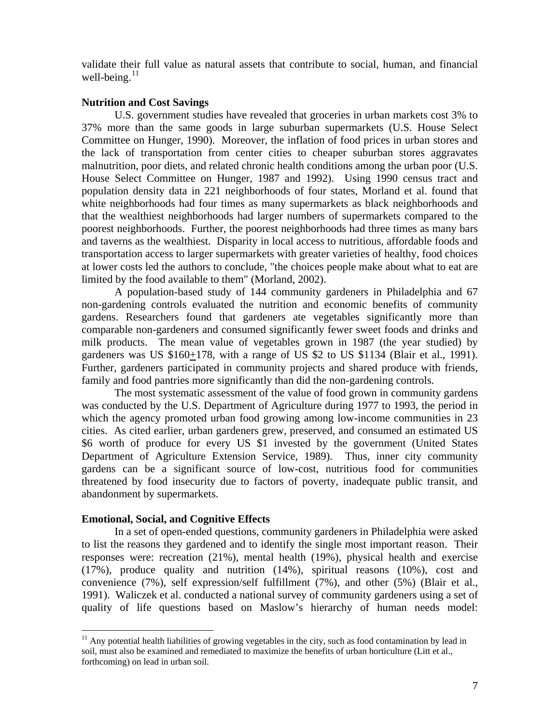validate their full value as natural assets that contribute to social, human, and financial well-being. $11$ 

#### **Nutrition and Cost Savings**

U.S. government studies have revealed that groceries in urban markets cost 3% to 37% more than the same goods in large suburban supermarkets (U.S. House Select Committee on Hunger, 1990). Moreover, the inflation of food prices in urban stores and the lack of transportation from center cities to cheaper suburban stores aggravates malnutrition, poor diets, and related chronic health conditions among the urban poor (U.S. House Select Committee on Hunger, 1987 and 1992). Using 1990 census tract and population density data in 221 neighborhoods of four states, Morland et al. found that white neighborhoods had four times as many supermarkets as black neighborhoods and that the wealthiest neighborhoods had larger numbers of supermarkets compared to the poorest neighborhoods. Further, the poorest neighborhoods had three times as many bars and taverns as the wealthiest. Disparity in local access to nutritious, affordable foods and transportation access to larger supermarkets with greater varieties of healthy, food choices at lower costs led the authors to conclude, "the choices people make about what to eat are limited by the food available to them" (Morland, 2002).

A population-based study of 144 community gardeners in Philadelphia and 67 non-gardening controls evaluated the nutrition and economic benefits of community gardens. Researchers found that gardeners ate vegetables significantly more than comparable non-gardeners and consumed significantly fewer sweet foods and drinks and milk products. The mean value of vegetables grown in 1987 (the year studied) by gardeners was US \$160+178, with a range of US \$2 to US \$1134 (Blair et al., 1991). Further, gardeners participated in community projects and shared produce with friends, family and food pantries more significantly than did the non-gardening controls.

The most systematic assessment of the value of food grown in community gardens was conducted by the U.S. Department of Agriculture during 1977 to 1993, the period in which the agency promoted urban food growing among low-income communities in 23 cities. As cited earlier, urban gardeners grew, preserved, and consumed an estimated US \$6 worth of produce for every US \$1 invested by the government (United States Department of Agriculture Extension Service, 1989). Thus, inner city community gardens can be a significant source of low-cost, nutritious food for communities threatened by food insecurity due to factors of poverty, inadequate public transit, and abandonment by supermarkets.

#### **Emotional, Social, and Cognitive Effects**

 $\overline{a}$ 

In a set of open-ended questions, community gardeners in Philadelphia were asked to list the reasons they gardened and to identify the single most important reason. Their responses were: recreation (21%), mental health (19%), physical health and exercise (17%), produce quality and nutrition (14%), spiritual reasons (10%), cost and convenience (7%), self expression/self fulfillment (7%), and other (5%) (Blair et al., 1991). Waliczek et al. conducted a national survey of community gardeners using a set of quality of life questions based on Maslow's hierarchy of human needs model:

<span id="page-6-0"></span> $11$  Any potential health liabilities of growing vegetables in the city, such as food contamination by lead in soil, must also be examined and remediated to maximize the benefits of urban horticulture (Litt et al., forthcoming) on lead in urban soil.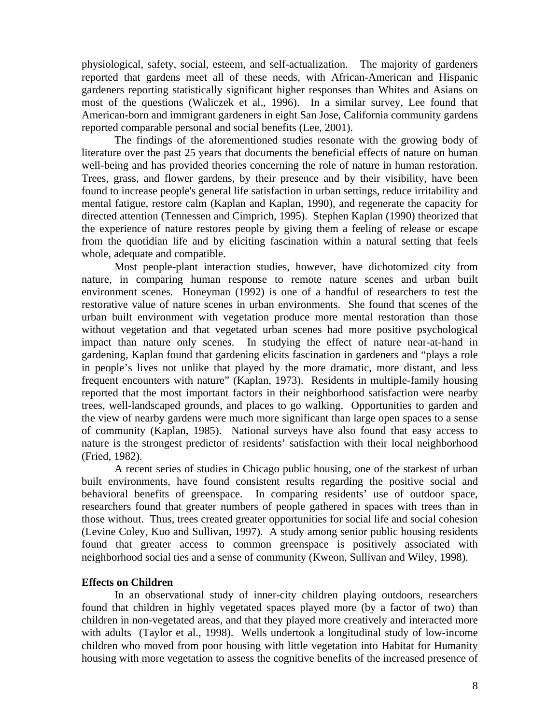physiological, safety, social, esteem, and self-actualization. The majority of gardeners reported that gardens meet all of these needs, with African-American and Hispanic gardeners reporting statistically significant higher responses than Whites and Asians on most of the questions (Waliczek et al., 1996). In a similar survey, Lee found that American-born and immigrant gardeners in eight San Jose, California community gardens reported comparable personal and social benefits (Lee, 2001).

The findings of the aforementioned studies resonate with the growing body of literature over the past 25 years that documents the beneficial effects of nature on human well-being and has provided theories concerning the role of nature in human restoration. Trees, grass, and flower gardens, by their presence and by their visibility, have been found to increase people's general life satisfaction in urban settings, reduce irritability and mental fatigue, restore calm (Kaplan and Kaplan, 1990), and regenerate the capacity for directed attention (Tennessen and Cimprich, 1995). Stephen Kaplan (1990) theorized that the experience of nature restores people by giving them a feeling of release or escape from the quotidian life and by eliciting fascination within a natural setting that feels whole, adequate and compatible.

Most people-plant interaction studies, however, have dichotomized city from nature, in comparing human response to remote nature scenes and urban built environment scenes. Honeyman (1992) is one of a handful of researchers to test the restorative value of nature scenes in urban environments. She found that scenes of the urban built environment with vegetation produce more mental restoration than those without vegetation and that vegetated urban scenes had more positive psychological impact than nature only scenes. In studying the effect of nature near-at-hand in gardening, Kaplan found that gardening elicits fascination in gardeners and "plays a role in people's lives not unlike that played by the more dramatic, more distant, and less frequent encounters with nature" (Kaplan, 1973). Residents in multiple-family housing reported that the most important factors in their neighborhood satisfaction were nearby trees, well-landscaped grounds, and places to go walking. Opportunities to garden and the view of nearby gardens were much more significant than large open spaces to a sense of community (Kaplan, 1985). National surveys have also found that easy access to nature is the strongest predictor of residents' satisfaction with their local neighborhood (Fried, 1982).

A recent series of studies in Chicago public housing, one of the starkest of urban built environments, have found consistent results regarding the positive social and behavioral benefits of greenspace. In comparing residents' use of outdoor space, researchers found that greater numbers of people gathered in spaces with trees than in those without. Thus, trees created greater opportunities for social life and social cohesion (Levine Coley, Kuo and Sullivan, 1997). A study among senior public housing residents found that greater access to common greenspace is positively associated with neighborhood social ties and a sense of community (Kweon, Sullivan and Wiley, 1998).

## **Effects on Children**

In an observational study of inner-city children playing outdoors, researchers found that children in highly vegetated spaces played more (by a factor of two) than children in non-vegetated areas, and that they played more creatively and interacted more with adults (Taylor et al., 1998). Wells undertook a longitudinal study of low-income children who moved from poor housing with little vegetation into Habitat for Humanity housing with more vegetation to assess the cognitive benefits of the increased presence of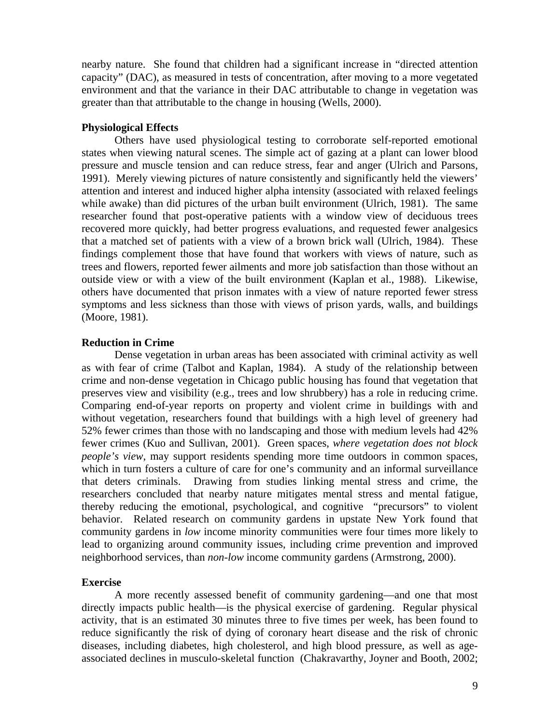nearby nature. She found that children had a significant increase in "directed attention capacity" (DAC), as measured in tests of concentration, after moving to a more vegetated environment and that the variance in their DAC attributable to change in vegetation was greater than that attributable to the change in housing (Wells, 2000).

#### **Physiological Effects**

Others have used physiological testing to corroborate self-reported emotional states when viewing natural scenes. The simple act of gazing at a plant can lower blood pressure and muscle tension and can reduce stress, fear and anger (Ulrich and Parsons, 1991). Merely viewing pictures of nature consistently and significantly held the viewers' attention and interest and induced higher alpha intensity (associated with relaxed feelings while awake) than did pictures of the urban built environment (Ulrich, 1981). The same researcher found that post-operative patients with a window view of deciduous trees recovered more quickly, had better progress evaluations, and requested fewer analgesics that a matched set of patients with a view of a brown brick wall (Ulrich, 1984). These findings complement those that have found that workers with views of nature, such as trees and flowers, reported fewer ailments and more job satisfaction than those without an outside view or with a view of the built environment (Kaplan et al., 1988). Likewise, others have documented that prison inmates with a view of nature reported fewer stress symptoms and less sickness than those with views of prison yards, walls, and buildings (Moore, 1981).

#### **Reduction in Crime**

Dense vegetation in urban areas has been associated with criminal activity as well as with fear of crime (Talbot and Kaplan, 1984). A study of the relationship between crime and non-dense vegetation in Chicago public housing has found that vegetation that preserves view and visibility (e.g., trees and low shrubbery) has a role in reducing crime. Comparing end-of-year reports on property and violent crime in buildings with and without vegetation, researchers found that buildings with a high level of greenery had 52% fewer crimes than those with no landscaping and those with medium levels had 42% fewer crimes (Kuo and Sullivan, 2001). Green spaces, *where vegetation does not block people's view*, may support residents spending more time outdoors in common spaces, which in turn fosters a culture of care for one's community and an informal surveillance that deters criminals. Drawing from studies linking mental stress and crime, the researchers concluded that nearby nature mitigates mental stress and mental fatigue, thereby reducing the emotional, psychological, and cognitive "precursors" to violent behavior. Related research on community gardens in upstate New York found that community gardens in *low* income minority communities were four times more likely to lead to organizing around community issues, including crime prevention and improved neighborhood services, than *non-low* income community gardens (Armstrong, 2000).

#### **Exercise**

A more recently assessed benefit of community gardening—and one that most directly impacts public health––is the physical exercise of gardening. Regular physical activity, that is an estimated 30 minutes three to five times per week, has been found to reduce significantly the risk of dying of coronary heart disease and the risk of chronic diseases, including diabetes, high cholesterol, and high blood pressure, as well as ageassociated declines in musculo-skeletal function (Chakravarthy, Joyner and Booth, 2002;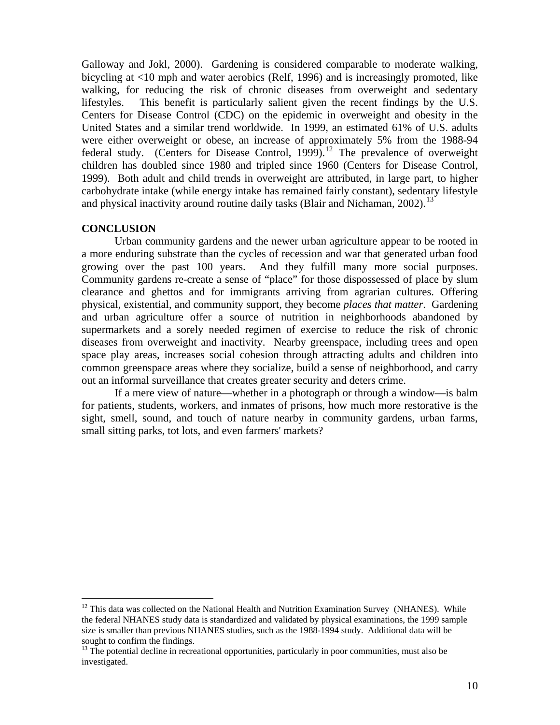Galloway and Jokl, 2000). Gardening is considered comparable to moderate walking, bicycling at <10 mph and water aerobics (Relf, 1996) and is increasingly promoted, like walking, for reducing the risk of chronic diseases from overweight and sedentary lifestyles. This benefit is particularly salient given the recent findings by the U.S. Centers for Disease Control (CDC) on the epidemic in overweight and obesity in the United States and a similar trend worldwide. In 1999, an estimated 61% of U.S. adults were either overweight or obese, an increase of approximately 5% from the 1988-94 federal study. (Centers for Disease Control, 1999).<sup>[12](#page-9-0)</sup> The prevalence of overweight children has doubled since 1980 and tripled since 1960 (Centers for Disease Control, 1999). Both adult and child trends in overweight are attributed, in large part, to higher carbohydrate intake (while energy intake has remained fairly constant), sedentary lifestyle and physical inactivity around routine daily tasks (Blair and Nichaman, 2002).<sup>[13](#page-9-1)</sup>

### **CONCLUSION**

 $\overline{a}$ 

Urban community gardens and the newer urban agriculture appear to be rooted in a more enduring substrate than the cycles of recession and war that generated urban food growing over the past 100 years. And they fulfill many more social purposes. Community gardens re-create a sense of "place" for those dispossessed of place by slum clearance and ghettos and for immigrants arriving from agrarian cultures. Offering physical, existential, and community support, they become *places that matter*. Gardening and urban agriculture offer a source of nutrition in neighborhoods abandoned by supermarkets and a sorely needed regimen of exercise to reduce the risk of chronic diseases from overweight and inactivity. Nearby greenspace, including trees and open space play areas, increases social cohesion through attracting adults and children into common greenspace areas where they socialize, build a sense of neighborhood, and carry out an informal surveillance that creates greater security and deters crime.

If a mere view of nature—whether in a photograph or through a window—is balm for patients, students, workers, and inmates of prisons, how much more restorative is the sight, smell, sound, and touch of nature nearby in community gardens, urban farms, small sitting parks, tot lots, and even farmers' markets?

<span id="page-9-0"></span><sup>&</sup>lt;sup>12</sup> This data was collected on the National Health and Nutrition Examination Survey (NHANES). While the federal NHANES study data is standardized and validated by physical examinations, the 1999 sample size is smaller than previous NHANES studies, such as the 1988-1994 study. Additional data will be sought to confirm the findings.

<span id="page-9-1"></span><sup>&</sup>lt;sup>13</sup> The potential decline in recreational opportunities, particularly in poor communities, must also be investigated.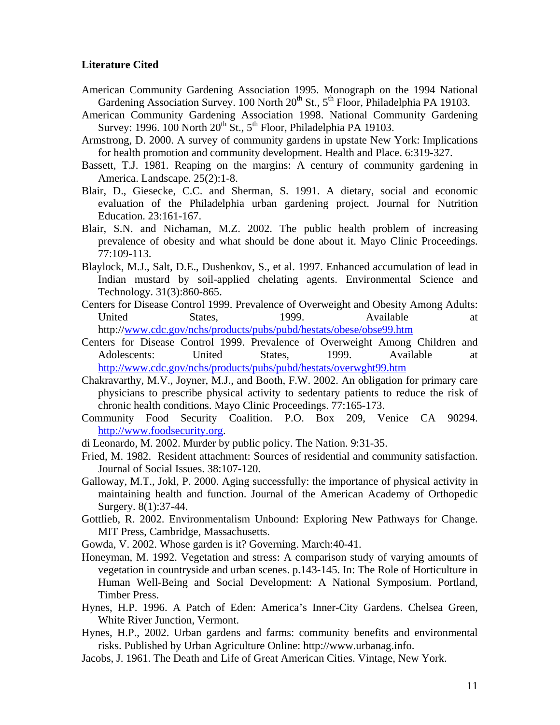#### **Literature Cited**

- American Community Gardening Association 1995. Monograph on the 1994 National Gardening Association Survey. 100 North  $20^{th}$  St.,  $5^{th}$  Floor, Philadelphia PA 19103.
- American Community Gardening Association 1998. National Community Gardening Survey: 1996. 100 North  $20<sup>th</sup>$  St.,  $5<sup>th</sup>$  Floor, Philadelphia PA 19103.
- Armstrong, D. 2000. A survey of community gardens in upstate New York: Implications for health promotion and community development. Health and Place. 6:319-327.
- Bassett, T.J. 1981. Reaping on the margins: A century of community gardening in America. Landscape. 25(2):1-8.
- Blair, D., Giesecke, C.C. and Sherman, S. 1991. A dietary, social and economic evaluation of the Philadelphia urban gardening project. Journal for Nutrition Education. 23:161-167.
- Blair, S.N. and Nichaman, M.Z. 2002. The public health problem of increasing prevalence of obesity and what should be done about it. Mayo Clinic Proceedings. 77:109-113.
- Blaylock, M.J., Salt, D.E., Dushenkov, S., et al. 1997. Enhanced accumulation of lead in Indian mustard by soil-applied chelating agents. Environmental Science and Technology. 31(3):860-865.
- Centers for Disease Control 1999. Prevalence of Overweight and Obesity Among Adults: United States, 1999. Available at http:/[/www.cdc.gov/nchs/products/pubs/pubd/hestats/obese/obse99.htm](http://www.cdc.gov/nchs/nhanes.html)
- Centers for Disease Control 1999. Prevalence of Overweight Among Children and Adolescents: United States, 1999. Available at [http://www.cdc.gov/nchs/products/pubs/pubd/hestats/overwght99.htm](http://www.cdc.gov/nchs/nhanes.html)
- Chakravarthy, M.V., Joyner, M.J., and Booth, F.W. 2002. An obligation for primary care physicians to prescribe physical activity to sedentary patients to reduce the risk of chronic health conditions. Mayo Clinic Proceedings. 77:165-173.
- Community Food Security Coalition. P.O. Box 209, Venice CA 90294. [http://www.foodsecurity.org.](http://www.foodsecurity.org/)
- di Leonardo, M. 2002. Murder by public policy. The Nation. 9:31-35.
- Fried, M. 1982. Resident attachment: Sources of residential and community satisfaction. Journal of Social Issues. 38:107-120.
- Galloway, M.T., Jokl, P. 2000. Aging successfully: the importance of physical activity in maintaining health and function. Journal of the American Academy of Orthopedic Surgery. 8(1):37-44.
- Gottlieb, R. 2002. Environmentalism Unbound: Exploring New Pathways for Change. MIT Press, Cambridge, Massachusetts.
- Gowda, V. 2002. Whose garden is it? Governing. March:40-41.
- Honeyman, M. 1992. Vegetation and stress: A comparison study of varying amounts of vegetation in countryside and urban scenes. p.143-145. In: The Role of Horticulture in Human Well-Being and Social Development: A National Symposium. Portland, Timber Press.
- Hynes, H.P. 1996. A Patch of Eden: America's Inner-City Gardens. Chelsea Green, White River Junction, Vermont.
- Hynes, H.P., 2002. Urban gardens and farms: community benefits and environmental risks. Published by Urban Agriculture Online: http://www.urbanag.info.
- Jacobs, J. 1961. The Death and Life of Great American Cities. Vintage, New York.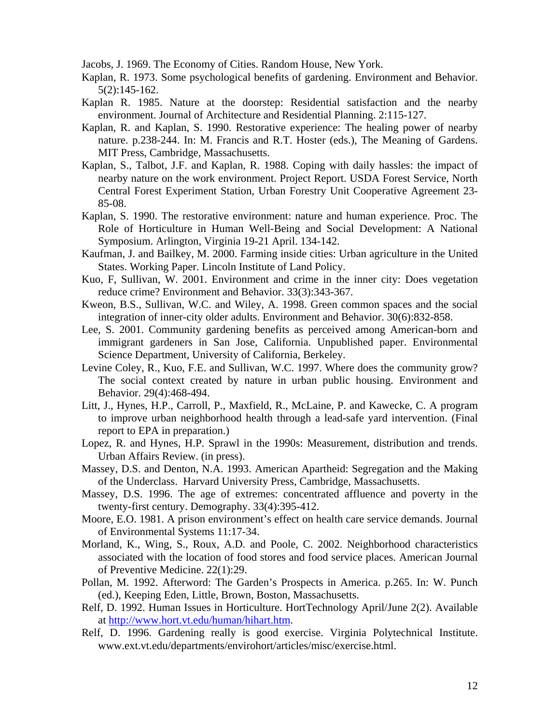Jacobs, J. 1969. The Economy of Cities. Random House, New York.

- Kaplan, R. 1973. Some psychological benefits of gardening. Environment and Behavior. 5(2):145-162.
- Kaplan R. 1985. Nature at the doorstep: Residential satisfaction and the nearby environment. Journal of Architecture and Residential Planning. 2:115-127.
- Kaplan, R. and Kaplan, S. 1990. Restorative experience: The healing power of nearby nature. p.238-244. In: M. Francis and R.T. Hoster (eds.), The Meaning of Gardens. MIT Press, Cambridge, Massachusetts.
- Kaplan, S., Talbot, J.F. and Kaplan, R. 1988. Coping with daily hassles: the impact of nearby nature on the work environment. Project Report. USDA Forest Service, North Central Forest Experiment Station, Urban Forestry Unit Cooperative Agreement 23- 85-08.
- Kaplan, S. 1990. The restorative environment: nature and human experience. Proc. The Role of Horticulture in Human Well-Being and Social Development: A National Symposium. Arlington, Virginia 19-21 April. 134-142.
- Kaufman, J. and Bailkey, M. 2000. Farming inside cities: Urban agriculture in the United States. Working Paper. Lincoln Institute of Land Policy.
- Kuo, F, Sullivan, W. 2001. Environment and crime in the inner city: Does vegetation reduce crime? Environment and Behavior. 33(3):343-367.
- Kweon, B.S., Sullivan, W.C. and Wiley, A. 1998. Green common spaces and the social integration of inner-city older adults. Environment and Behavior. 30(6):832-858.
- Lee, S. 2001. Community gardening benefits as perceived among American-born and immigrant gardeners in San Jose, California. Unpublished paper. Environmental Science Department, University of California, Berkeley.
- Levine Coley, R., Kuo, F.E. and Sullivan, W.C. 1997. Where does the community grow? The social context created by nature in urban public housing. Environment and Behavior. 29(4):468-494.
- Litt, J., Hynes, H.P., Carroll, P., Maxfield, R., McLaine, P. and Kawecke, C. A program to improve urban neighborhood health through a lead-safe yard intervention. (Final report to EPA in preparation.)
- Lopez, R. and Hynes, H.P. Sprawl in the 1990s: Measurement, distribution and trends. Urban Affairs Review. (in press).
- Massey, D.S. and Denton, N.A. 1993. American Apartheid: Segregation and the Making of the Underclass. Harvard University Press, Cambridge, Massachusetts.
- Massey, D.S. 1996. The age of extremes: concentrated affluence and poverty in the twenty-first century. Demography. 33(4):395-412.
- Moore, E.O. 1981. A prison environment's effect on health care service demands. Journal of Environmental Systems 11:17-34.
- Morland, K., Wing, S., Roux, A.D. and Poole, C. 2002. Neighborhood characteristics associated with the location of food stores and food service places. American Journal of Preventive Medicine. 22(1):29.
- Pollan, M. 1992. Afterword: The Garden's Prospects in America. p.265. In: W. Punch (ed.), Keeping Eden, Little, Brown, Boston, Massachusetts.
- Relf, D. 1992. Human Issues in Horticulture. HortTechnology April/June 2(2). Available at [http://www.hort.vt.edu/human/hihart.htm.](http://www.hort.vt.edu/human/hihart.htm)
- Relf, D. 1996. Gardening really is good exercise. Virginia Polytechnical Institute. www.ext.vt.edu/departments/envirohort/articles/misc/exercise.html.